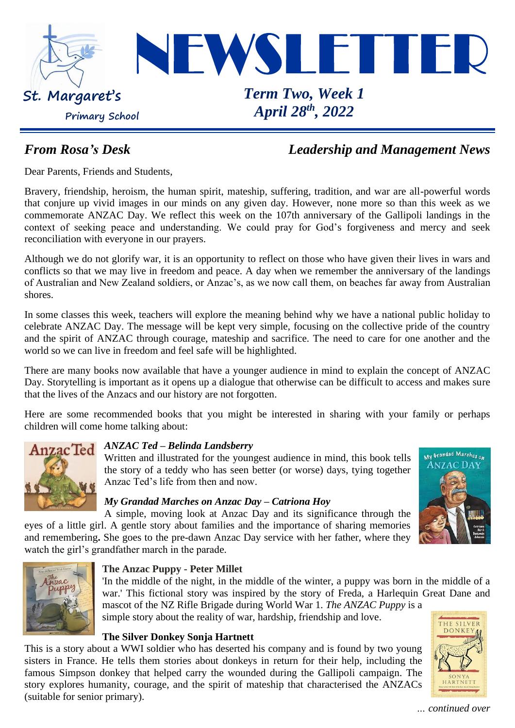

### *From Rosa's Desk Leadership and Management News*

Dear Parents, Friends and Students,

Bravery, friendship, heroism, the human spirit, mateship, suffering, tradition, and war are all-powerful words that conjure up vivid images in our minds on any given day. However, none more so than this week as we commemorate ANZAC Day. We reflect this week on the 107th anniversary of the Gallipoli landings in the context of seeking peace and understanding. We could pray for God's forgiveness and mercy and seek reconciliation with everyone in our prayers.

Although we do not glorify war, it is an opportunity to reflect on those who have given their lives in wars and conflicts so that we may live in freedom and peace. A day when we remember the anniversary of the landings of Australian and New Zealand soldiers, or Anzac's, as we now call them, on beaches far away from Australian shores.

In some classes this week, teachers will explore the meaning behind why we have a national public holiday to celebrate ANZAC Day. The message will be kept very simple, focusing on the collective pride of the country and the spirit of ANZAC through courage, mateship and sacrifice. The need to care for one another and the world so we can live in freedom and feel safe will be highlighted.

There are many books now available that have a younger audience in mind to explain the concept of ANZAC Day. Storytelling is important as it opens up a dialogue that otherwise can be difficult to access and makes sure that the lives of the Anzacs and our history are not forgotten.

Here are some recommended books that you might be interested in sharing with your family or perhaps children will come home talking about:



## *ANZAC Ted – Belinda Landsberry*

Written and illustrated for the youngest audience in mind, this book tells the story of a teddy who has seen better (or worse) days, tying together Anzac Ted's life from then and now.

#### *My Grandad Marches on Anzac Day – Catriona Hoy*

A simple, moving look at Anzac Day and its significance through the eyes of a little girl. A gentle story about families and the importance of sharing memories and remembering**.** She goes to the pre-dawn Anzac Day service with her father, where they watch the girl's grandfather march in the parade.



#### **The Anzac Puppy - Peter Millet**

'In the middle of the night, in the middle of the winter, a puppy was born in the middle of a war.' This fictional story was inspired by the story of Freda, a Harlequin Great Dane and mascot of the NZ Rifle Brigade during World War 1. *The ANZAC Puppy* is a

simple story about the reality of war, hardship, friendship and love.

#### **The Silver Donkey Sonja Hartnett**

This is a story about a WWI soldier who has deserted his company and is found by two young sisters in France. He tells them stories about donkeys in return for their help, including the famous Simpson donkey that helped carry the wounded during the Gallipoli campaign. The story explores humanity, courage, and the spirit of mateship that characterised the ANZACs (suitable for senior primary).



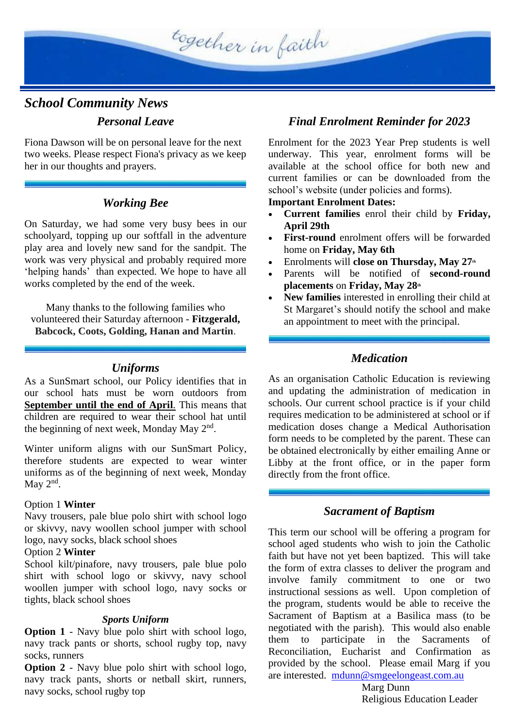

## *School Community News Personal Leave*

Fiona Dawson will be on personal leave for the next two weeks. Please respect Fiona's privacy as we keep her in our thoughts and prayers.

#### *Working Bee*

On Saturday, we had some very busy bees in our schoolyard, topping up our softfall in the adventure play area and lovely new sand for the sandpit. The work was very physical and probably required more 'helping hands' than expected. We hope to have all works completed by the end of the week.

Many thanks to the following families who volunteered their Saturday afternoon - **Fitzgerald, Babcock, Coots, Golding, Hanan and Martin**.

#### *Uniforms*

As a SunSmart school, our Policy identifies that in our school hats must be worn outdoors from **September until the end of April**. This means that children are required to wear their school hat until the beginning of next week, Monday May 2<sup>nd</sup>.

Winter uniform aligns with our SunSmart Policy, therefore students are expected to wear winter uniforms as of the beginning of next week, Monday May  $2<sup>nd</sup>$ .

#### Option 1 **Winter**

Navy trousers, pale blue polo shirt with school logo or skivvy, navy woollen school jumper with school logo, navy socks, black school shoes

#### Option 2 **Winter**

School kilt/pinafore, navy trousers, pale blue polo shirt with school logo or skivvy, navy school woollen jumper with school logo, navy socks or tights, black school shoes

#### *Sports Uniform*

**Option 1** - Navy blue polo shirt with school logo, navy track pants or shorts, school rugby top, navy socks, runners

**Option 2** - Navy blue polo shirt with school logo, navy track pants, shorts or netball skirt, runners, navy socks, school rugby top

#### *Final Enrolment Reminder for 2023*

Enrolment for the 2023 Year Prep students is well underway. This year, enrolment forms will be available at the school office for both new and current families or can be downloaded from the school's website (under policies and forms).

#### **Important Enrolment Dates:**

- **Current families** enrol their child by **Friday, April 29th**
- **First-round** enrolment offers will be forwarded home on **Friday, May 6th**
- Enrolments will **close on Thursday, May 27th**
- Parents will be notified of **second-round placements** on **Friday, May 28th**
- **New families** interested in enrolling their child at St Margaret's should notify the school and make an appointment to meet with the principal.

#### *Medication*

As an organisation Catholic Education is reviewing and updating the administration of medication in schools. Our current school practice is if your child requires medication to be administered at school or if medication doses change a Medical Authorisation form needs to be completed by the parent. These can be obtained electronically by either emailing Anne or Libby at the front office, or in the paper form directly from the front office.

#### *Sacrament of Baptism*

This term our school will be offering a program for school aged students who wish to join the Catholic faith but have not yet been baptized. This will take the form of extra classes to deliver the program and involve family commitment to one or instructional sessions as well. Upon completion of the program, students would be able to receive the Sacrament of Baptism at a Basilica mass (to be negotiated with the parish). This would also enable them to participate in the Sacraments of Reconciliation, Eucharist and Confirmation as provided by the school. Please email Marg if you are interested. [mdunn@smgeelongeast.com.au](mailto:mdunn@smgeelongeast.com.au)

Marg Dunn Religious Education Leader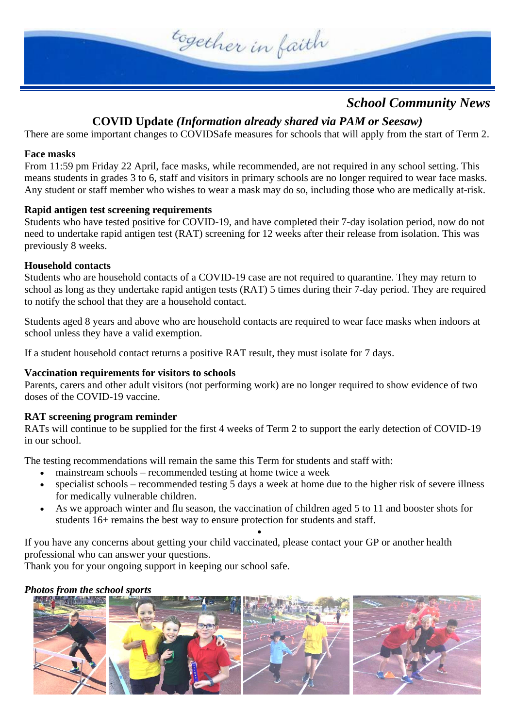

#### *School Community News*

#### **COVID Update** *(Information already shared via PAM or Seesaw)*

There are some important changes to COVIDSafe measures for schools that will apply from the start of Term 2.

#### **Face masks**

From 11:59 pm Friday 22 April, face masks, while recommended, are not required in any school setting. This means students in grades 3 to 6, staff and visitors in primary schools are no longer required to wear face masks. Any student or staff member who wishes to wear a mask may do so, including those who are medically at-risk.

#### **Rapid antigen test screening requirements**

Students who have tested positive for COVID-19, and have completed their 7-day isolation period, now do not need to undertake rapid antigen test (RAT) screening for 12 weeks after their release from isolation. This was previously 8 weeks.

#### **Household contacts**

Students who are household contacts of a COVID-19 case are not required to quarantine. They may return to school as long as they undertake rapid antigen tests (RAT) 5 times during their 7-day period. They are required to notify the school that they are a household contact.

Students aged 8 years and above who are household contacts are required to wear face masks when indoors at school unless they have a valid exemption.

If a student household contact returns a positive RAT result, they must isolate for 7 days.

#### **Vaccination requirements for visitors to schools**

Parents, carers and other adult visitors (not performing work) are no longer required to show evidence of two doses of the COVID-19 vaccine.

#### **RAT screening program reminder**

RATs will continue to be supplied for the first 4 weeks of Term 2 to support the early detection of COVID-19 in our school.

The testing recommendations will remain the same this Term for students and staff with:

- mainstream schools recommended testing at home twice a week
- specialist schools recommended testing 5 days a week at home due to the higher risk of severe illness for medically vulnerable children.
- As we approach winter and flu season, the vaccination of children aged 5 to 11 and booster shots for students 16+ remains the best way to ensure protection for students and staff.

•

If you have any concerns about getting your child vaccinated, please contact your GP or another health professional who can answer your questions.

Thank you for your ongoing support in keeping our school safe.

#### *Photos from the school sports*

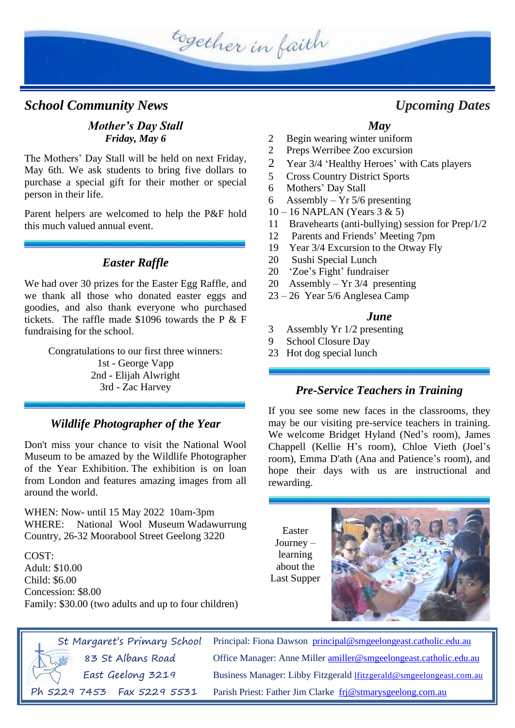

#### *School Community News Upcoming Dates*

#### *Mother's Day Stall Friday, May 6*

The Mothers' Day Stall will be held on next Friday, May 6th. We ask students to bring five dollars to purchase a special gift for their mother or special person in their life.

Parent helpers are welcomed to help the P&F hold this much valued annual event.

#### *Easter Raffle*

We had over 30 prizes for the Easter Egg Raffle, and we thank all those who donated easter eggs and goodies, and also thank everyone who purchased tickets. The raffle made \$1096 towards the P & F fundraising for the school.

Congratulations to our first three winners:

1st - George Vapp 2nd - Elijah Alwright 3rd - Zac Harvey

#### *Wildlife Photographer of the Year*

Don't miss your chance to visit the National Wool Museum to be amazed by the Wildlife Photographer of the Year Exhibition. The exhibition is on loan from London and features amazing images from all around the world.

WHEN: Now- until 15 May 2022 10am-3pm WHERE: National Wool Museum Wadawurrung Country, 26-32 Moorabool Street Geelong 3220

COST: Adult: \$10.00 Child: \$6.00 Concession: \$8.00 Family: \$30.00 (two adults and up to four children)

#### *May*

- 2 Begin wearing winter uniform
- 2 Preps Werribee Zoo excursion
- 2 Year 3/4 'Healthy Heroes' with Cats players
- 5 Cross Country District Sports
- 6 Mothers' Day Stall
- 6 Assembly Yr 5/6 presenting
- 10 16 NAPLAN (Years 3 & 5)
- 11 Bravehearts (anti-bullying) session for Prep/1/2
- 12 Parents and Friends' Meeting 7pm
- 19 Year 3/4 Excursion to the Otway Fly
- 20 Sushi Special Lunch
- 20 'Zoe's Fight' fundraiser
- 20 Assembly Yr 3/4 presenting
- 23 26 Year 5/6 Anglesea Camp

#### *June*

- 3 Assembly Yr 1/2 presenting
- 9 School Closure Day
- 23 Hot dog special lunch

#### *Pre-Service Teachers in Training*

If you see some new faces in the classrooms, they may be our visiting pre-service teachers in training. We welcome Bridget Hyland (Ned's room), James Chappell (Kellie H's room), Chloe Vieth (Joel's room), Emma D'ath (Ana and Patience's room), and hope their days with us are instructional and rewarding.

Easter Journey – learning about the Last Supper



St Margaret's Primary School 83 St Albans Road East Geelong 3219

Ph 5229 7453 Fax 5229 5531

Principal: Fiona Dawson [principal@smgeelongeast.catholic.edu.au](mailto:principal@smgeelongeast.catholic.edu.au) Office Manager: Anne Miller [amiller@smgeelongeast.catholic.edu.au](mailto:amiller@smgeelongeast.catholic.edu.au) Business Manager: Libby Fitzgerald [lfitzgerald@smgeelongeast.com.au](mailto:lfitzgerald@smgeelongeast.com.au) Parish Priest: Father Jim Clarke [frj@stmarysgeelong.com.au](mailto:frj@stmarysgeelong.com.au)